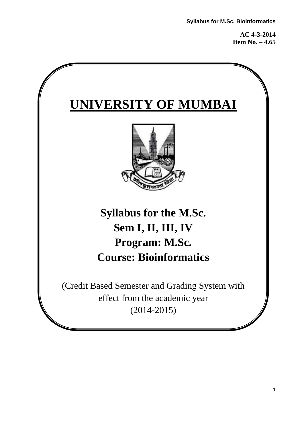**AC 4-3-2014 Item No. – 4.65**

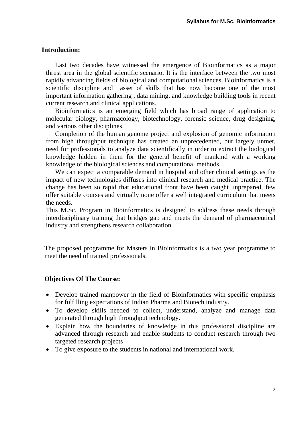#### **Introduction:**

Last two decades have witnessed the emergence of Bioinformatics as a major thrust area in the global scientific scenario. It is the interface between the two most rapidly advancing fields of biological and computational sciences, Bioinformatics is a scientific discipline and asset of skills that has now become one of the most important information gathering , data mining, and knowledge building tools in recent current research and clinical applications.

Bioinformatics is an emerging field which has broad range of application to molecular biology, pharmacology, biotechnology, forensic science, drug designing, and various other disciplines.

Completion of the human genome project and explosion of genomic information from high throughput technique has created an unprecedented, but largely unmet, need for professionals to analyze data scientifically in order to extract the biological knowledge hidden in them for the general benefit of mankind with a working knowledge of the biological sciences and computational methods. .

We can expect a comparable demand in hospital and other clinical settings as the impact of new technologies diffuses into clinical research and medical practice. The change has been so rapid that educational front have been caught unprepared, few offer suitable courses and virtually none offer a well integrated curriculum that meets the needs.

This M.Sc. Program in Bioinformatics is designed to address these needs through interdisciplinary training that bridges gap and meets the demand of pharmaceutical industry and strengthens research collaboration

The proposed programme for Masters in Bioinformatics is a two year programme to meet the need of trained professionals.

#### **Objectives Of The Course:**

- Develop trained manpower in the field of Bioinformatics with specific emphasis for fulfilling expectations of Indian Pharma and Biotech industry.
- To develop skills needed to collect, understand, analyze and manage data generated through high throughput technology.
- Explain how the boundaries of knowledge in this professional discipline are advanced through research and enable students to conduct research through two targeted research projects
- To give exposure to the students in national and international work.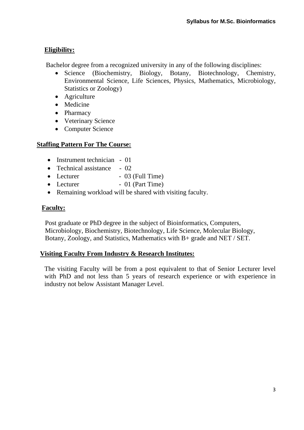# **Eligibility:**

Bachelor degree from a recognized university in any of the following disciplines:

- Science (Biochemistry, Biology, Botany, Biotechnology, Chemistry, Environmental Science, Life Sciences, Physics, Mathematics, Microbiology, Statistics or Zoology)
- Agriculture
- Medicine
- Pharmacy
- Veterinary Science
- Computer Science

### **Staffing Pattern For The Course:**

- Instrument technician 01
- Technical assistance 02
- $\bullet$  Lecturer  $-$  03 (Full Time)
- Lecturer 01 (Part Time)
- Remaining workload will be shared with visiting faculty.

### **Faculty:**

 Post graduate or PhD degree in the subject of Bioinformatics, Computers, Microbiology, Biochemistry, Biotechnology, Life Science, Molecular Biology, Botany, Zoology, and Statistics, Mathematics with B+ grade and NET / SET.

### **Visiting Faculty From Industry & Research Institutes:**

The visiting Faculty will be from a post equivalent to that of Senior Lecturer level with PhD and not less than 5 years of research experience or with experience in industry not below Assistant Manager Level.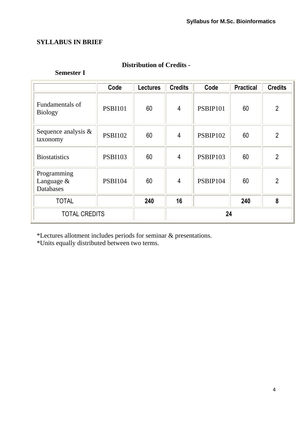### **SYLLABUS IN BRIEF**

### **Semester I**

|                                        | Code           | <b>Lectures</b> | <b>Credits</b> | Code     | <b>Practical</b> | <b>Credits</b> |
|----------------------------------------|----------------|-----------------|----------------|----------|------------------|----------------|
| Fundamentals of<br><b>Biology</b>      | <b>PSBI101</b> | 60              | $\overline{4}$ | PSBIP101 | 60               | $\overline{2}$ |
| Sequence analysis $\&$<br>taxonomy     | <b>PSBI102</b> | 60              | 4              | PSBIP102 | 60               | $\overline{2}$ |
| <b>Biostatistics</b>                   | <b>PSBI103</b> | 60              | $\overline{4}$ | PSBIP103 | 60               | $\overline{2}$ |
| Programming<br>Language &<br>Databases | <b>PSBI104</b> | 60              | $\overline{4}$ | PSBIP104 | 60               | $\overline{2}$ |
| <b>TOTAL</b>                           |                | 240             | 16             |          | 240              | 8              |
| <b>TOTAL CREDITS</b>                   |                |                 |                | 24       |                  |                |

**Distribution of Credits -**

\*Lectures allotment includes periods for seminar & presentations.

\*Units equally distributed between two terms.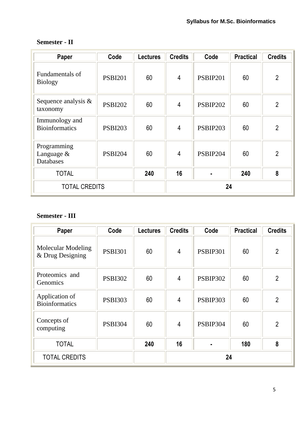| Paper                                   | Code           | <b>Lectures</b> | <b>Credits</b> | Code     | <b>Practical</b> | <b>Credits</b> |
|-----------------------------------------|----------------|-----------------|----------------|----------|------------------|----------------|
| Fundamentals of<br><b>Biology</b>       | <b>PSBI201</b> | 60              | 4              | PSBIP201 | 60               | $\overline{2}$ |
| Sequence analysis $\&$<br>taxonomy      | <b>PSBI202</b> | 60              | $\overline{4}$ | PSBIP202 | 60               | $\overline{2}$ |
| Immunology and<br><b>Bioinformatics</b> | <b>PSBI203</b> | 60              | $\overline{4}$ | PSBIP203 | 60               | $\overline{2}$ |
| Programming<br>Language &<br>Databases  | <b>PSBI204</b> | 60              | $\overline{4}$ | PSBIP204 | 60               | $\overline{2}$ |
| <b>TOTAL</b>                            |                | 240             | 16             |          | 240              | 8              |
| <b>TOTAL CREDITS</b>                    |                |                 | 24             |          |                  |                |

# **Semester - II**

# **Semester - III**

| Paper                                         | Code           | <b>Lectures</b> | <b>Credits</b> | Code            | <b>Practical</b> | <b>Credits</b> |
|-----------------------------------------------|----------------|-----------------|----------------|-----------------|------------------|----------------|
| <b>Molecular Modeling</b><br>& Drug Designing | <b>PSBI301</b> | 60              | $\overline{4}$ | <b>PSBIP301</b> | 60               | $\overline{2}$ |
| Proteomics and<br>Genomics                    | <b>PSBI302</b> | 60              | $\overline{4}$ | <b>PSBIP302</b> | 60               | $\overline{2}$ |
| Application of<br><b>Bioinformatics</b>       | <b>PSBI303</b> | 60              | $\overline{4}$ | PSBIP303        | 60               | $\overline{2}$ |
| Concepts of<br>computing                      | <b>PSBI304</b> | 60              | $\overline{4}$ | PSBIP304        | 60               | $\overline{2}$ |
| <b>TOTAL</b>                                  |                | 240             | 16             |                 | 180              | 8              |
| <b>TOTAL CREDITS</b>                          |                |                 | 24             |                 |                  |                |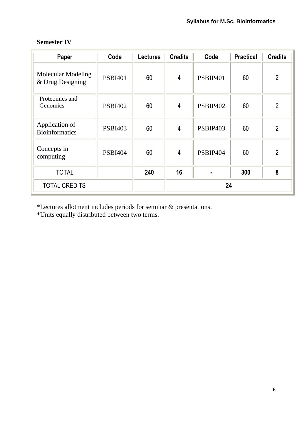| Paper                                         | Code           | <b>Lectures</b> | <b>Credits</b> | Code            | <b>Practical</b> | <b>Credits</b> |
|-----------------------------------------------|----------------|-----------------|----------------|-----------------|------------------|----------------|
| <b>Molecular Modeling</b><br>& Drug Designing | <b>PSBI401</b> | 60              | $\overline{4}$ | <b>PSBIP401</b> | 60               | $\overline{2}$ |
| Proteomics and<br>Genomics                    | <b>PSBI402</b> | 60              | 4              | PSBIP402        | 60               | $\overline{2}$ |
| Application of<br><b>Bioinformatics</b>       | <b>PSBI403</b> | 60              | $\overline{4}$ | PSBIP403        | 60               | $\overline{2}$ |
| Concepts in<br>computing                      | <b>PSBI404</b> | 60              | $\overline{4}$ | PSBIP404        | 60               | $\overline{2}$ |
| <b>TOTAL</b>                                  |                | 240             | 16             |                 | 300              | 8              |
| <b>TOTAL CREDITS</b>                          |                |                 | 24             |                 |                  |                |

### **Semester IV**

\*Lectures allotment includes periods for seminar & presentations.

\*Units equally distributed between two terms.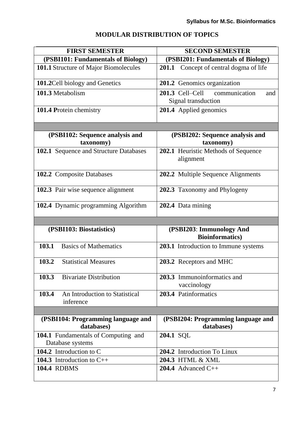# **MODULAR DISTRIBUTION OF TOPICS**

| <b>FIRST SEMESTER</b>                                | <b>SECOND SEMESTER</b>                                      |
|------------------------------------------------------|-------------------------------------------------------------|
| (PSBI101: Fundamentals of Biology)                   | (PSBI201: Fundamentals of Biology)                          |
| 101.1 Structure of Major Biomolecules                | 201.1 Concept of central dogma of life                      |
| 101.2 Cell biology and Genetics                      | 201.2 Genomics organization                                 |
| 101.3 Metabolism                                     | 201.3 Cell-Cell communication<br>and<br>Signal transduction |
| 101.4 Protein chemistry                              | 201.4 Applied genomics                                      |
|                                                      |                                                             |
| (PSBI102: Sequence analysis and<br>taxonomy)         | (PSBI202: Sequence analysis and<br>taxonomy)                |
| 102.1 Sequence and Structure Databases               | 202.1 Heuristic Methods of Sequence<br>alignment            |
| 102.2 Composite Databases                            | 202.2 Multiple Sequence Alignments                          |
| 102.3 Pair wise sequence alignment                   | 202.3 Taxonomy and Phylogeny                                |
| 102.4 Dynamic programming Algorithm                  | 202.4 Data mining                                           |
|                                                      |                                                             |
| (PSBI103: Biostatistics)                             | (PSBI203: Immunology And<br><b>Bioinformatics</b> )         |
| <b>Basics of Mathematics</b><br>103.1                | 203.1 Introduction to Immune systems                        |
| <b>Statistical Measures</b><br>103.2                 | 203.2 Receptors and MHC                                     |
| 103.3<br><b>Bivariate Distribution</b>               | 203.3 Immunoinformatics and<br>vaccinology                  |
| 103.4<br>An Introduction to Statistical<br>inference | 203.4 Patinformatics                                        |
|                                                      |                                                             |
| (PSBI104: Programming language and<br>databases)     | (PSBI204: Programming language and<br>databases)            |
| 104.1 Fundamentals of Computing and                  | 204.1 SOL                                                   |
| Database systems                                     |                                                             |
| 104.2 Introduction to C                              | 204.2 Introduction To Linux                                 |
| 104.3 Introduction to $C++$                          | 204.3 HTML & XML                                            |
| <b>104.4 RDBMS</b>                                   | 204.4 Advanced $C++$                                        |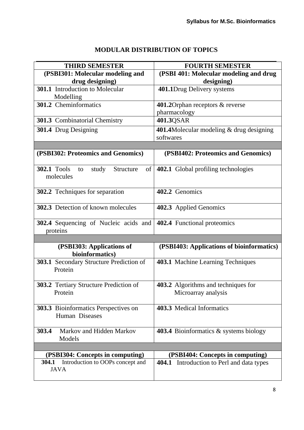# **MODULAR DISTRIBUTION OF TOPICS**

| <b>THIRD SEMESTER</b>                                               | <b>FOURTH SEMESTER</b>                                |
|---------------------------------------------------------------------|-------------------------------------------------------|
| (PSBI301: Molecular modeling and                                    | (PSBI 401: Molecular modeling and drug                |
| drug designing)                                                     | designing)                                            |
| 301.1 Introduction to Molecular                                     | 401.1Drug Delivery systems                            |
| Modelling                                                           |                                                       |
| 301.2 Cheminformatics                                               | 401.2 Orphan receptors & reverse                      |
|                                                                     | pharmacology                                          |
| 301.3 Combinatorial Chemistry                                       | 401.3QSAR                                             |
| 301.4 Drug Designing                                                | 401.4Molecular modeling & drug designing<br>softwares |
|                                                                     |                                                       |
| (PSBI302: Proteomics and Genomics)                                  | (PSBI402: Proteomics and Genomics)                    |
| <b>302.1 Tools</b><br>study<br>Structure<br>of  <br>to<br>molecules | 402.1 Global profiling technologies                   |
| 302.2 Techniques for separation                                     | 402.2 Genomics                                        |
| 302.3 Detection of known molecules                                  | 402.3 Applied Genomics                                |
| 302.4 Sequencing of Nucleic acids and<br>proteins                   | 402.4 Functional proteomics                           |
|                                                                     |                                                       |
| (PSBI303: Applications of<br>bioinformatics)                        | (PSBI403: Applications of bioinformatics)             |
| 303.1 Secondary Structure Prediction of<br>Protein                  | 403.1 Machine Learning Techniques                     |
| <b>303.2</b> Tertiary Structure Prediction of                       | 403.2 Algorithms and techniques for                   |
| Protein                                                             | Microarray analysis                                   |
| 303.3 Bioinformatics Perspectives on<br>Human Diseases              | 403.3 Medical Informatics                             |
| Markov and Hidden Markov<br>303.4<br>Models                         | <b>403.4</b> Bioinformatics & systems biology         |
|                                                                     |                                                       |
| (PSBI304: Concepts in computing)                                    | (PSBI404: Concepts in computing)                      |
| Introduction to OOPs concept and<br>304.1<br><b>JAVA</b>            | <b>404.1</b> Introduction to Perl and data types      |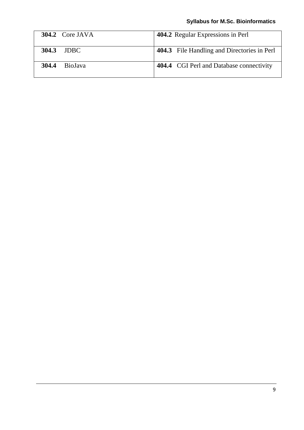# **Syllabus for M.Sc. Bioinformatics**

| 304.2 Core JAVA         | 404.2 Regular Expressions in Perl               |
|-------------------------|-------------------------------------------------|
| 304.3 JDBC              | 404.3 File Handling and Directories in Perl     |
| 304.4<br><b>BioJava</b> | <b>404.4</b> CGI Perl and Database connectivity |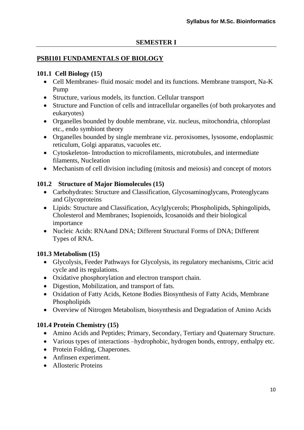### **PSBI101 FUNDAMENTALS OF BIOLOGY**

### **101.1 Cell Biology (15)**

- Cell Membranes- fluid mosaic model and its functions. Membrane transport, Na-K Pump
- Structure, various models, its function. Cellular transport
- Structure and Function of cells and intracellular organelles (of both prokaryotes and eukaryotes)
- Organelles bounded by double membrane, viz. nucleus, mitochondria, chloroplast etc., endo symbiont theory
- Organelles bounded by single membrane viz. peroxisomes, lysosome, endoplasmic reticulum, Golgi apparatus, vacuoles etc.
- Cytoskeleton- Introduction to microfilaments, microtubules, and intermediate filaments, Nucleation
- Mechanism of cell division including (mitosis and meiosis) and concept of motors

### **101.2 Structure of Major Biomolecules (15)**

- Carbohydrates: Structure and Classification, Glycosaminoglycans, Proteoglycans and Glycoproteins
- Lipids: Structure and Classification, Acylglycerols; Phospholipids, Sphingolipids, Cholesterol and Membranes; Isopienoids, Icosanoids and their biological importance
- Nucleic Acids: RNAand DNA; Different Structural Forms of DNA; Different Types of RNA.

# **101.3 Metabolism (15)**

- Glycolysis, Feeder Pathways for Glycolysis, its regulatory mechanisms, Citric acid cycle and its regulations.
- Oxidative phosphorylation and electron transport chain.
- Digestion, Mobilization, and transport of fats.
- Oxidation of Fatty Acids, Ketone Bodies Biosynthesis of Fatty Acids, Membrane Phospholipids
- Overview of Nitrogen Metabolism, biosynthesis and Degradation of Amino Acids

# **101.4 Protein Chemistry (15)**

- Amino Acids and Peptides; Primary, Secondary, Tertiary and Quaternary Structure.
- Various types of interactions –hydrophobic, hydrogen bonds, entropy, enthalpy etc.
- Protein Folding, Chaperones.
- Anfinsen experiment.
- Allosteric Proteins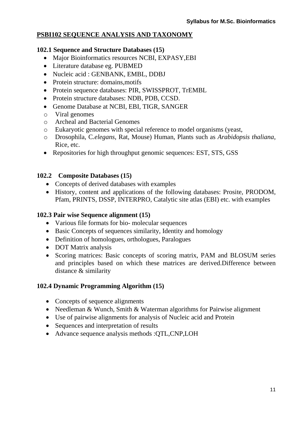### **PSBI102 SEQUENCE ANALYSIS AND TAXONOMY**

#### **102.1 Sequence and Structure Databases (15)**

- Major Bioinformatics resources NCBI, EXPASY,EBI
- Literature database eg. PUBMED
- Nucleic acid : GENBANK, EMBL, DDBJ
- Protein structure: domains, motifs
- Protein sequence databases: PIR, SWISSPROT, TrEMBL
- Protein structure databases: NDB, PDB, CCSD.
- Genome Database at NCBI, EBI, TIGR, SANGER
- o Viral genomes
- o Archeal and Bacterial Genomes
- o Eukaryotic genomes with special reference to model organisms (yeast,
- o Drosophila, C*.elegans*, Rat, Mouse) Human, Plants such as *Arabidopsis thaliana*, Rice, etc.
- Repositories for high throughput genomic sequences: EST, STS, GSS

#### **102.2 Composite Databases (15)**

- Concepts of derived databases with examples
- History, content and applications of the following databases: Prosite, PRODOM, Pfam, PRINTS, DSSP, INTERPRO, Catalytic site atlas (EBI) etc. with examples

#### **102.3 Pair wise Sequence alignment (15)**

- Various file formats for bio- molecular sequences
- Basic Concepts of sequences similarity, Identity and homology
- Definition of homologues, orthologues, Paralogues
- DOT Matrix analysis
- Scoring matrices: Basic concepts of scoring matrix, PAM and BLOSUM series and principles based on which these matrices are derived.Difference between distance & similarity

#### **102.4 Dynamic Programming Algorithm (15)**

- Concepts of sequence alignments
- Needleman & Wunch, Smith & Waterman algorithms for Pairwise alignment
- Use of pairwise alignments for analysis of Nucleic acid and Protein
- Sequences and interpretation of results
- Advance sequence analysis methods :QTL,CNP,LOH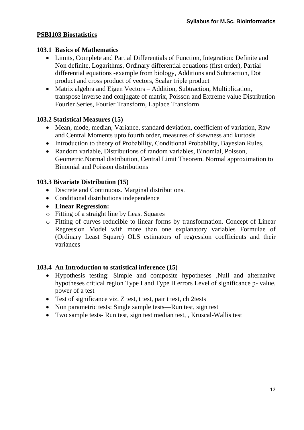### **PSBI103 Biostatistics**

### **103.1 Basics of Mathematics**

- Limits, Complete and Partial Differentials of Function, Integration: Definite and Non definite, Logarithms, Ordinary differential equations (first order), Partial differential equations -example from biology, Additions and Subtraction, Dot product and cross product of vectors, Scalar triple product
- Matrix algebra and Eigen Vectors Addition, Subtraction, Multiplication, transpose inverse and conjugate of matrix, Poisson and Extreme value Distribution Fourier Series, Fourier Transform, Laplace Transform

### **103.2 Statistical Measures (15)**

- Mean, mode, median, Variance, standard deviation, coefficient of variation, Raw and Central Moments upto fourth order, measures of skewness and kurtosis
- Introduction to theory of Probability, Conditional Probability, Bayesian Rules,
- Random variable, Distributions of random variables, Binomial, Poisson, Geometric,Normal distribution, Central Limit Theorem. Normal approximation to Binomial and Poisson distributions

### **103.3 Bivariate Distribution (15)**

- Discrete and Continuous. Marginal distributions.
- Conditional distributions independence
- **Linear Regression:**
- o Fitting of a straight line by Least Squares
- o Fitting of curves reducible to linear forms by transformation. Concept of Linear Regression Model with more than one explanatory variables Formulae of (Ordinary Least Square) OLS estimators of regression coefficients and their variances

### **103.4 An Introduction to statistical inference (15)**

- Hypothesis testing: Simple and composite hypotheses ,Null and alternative hypotheses critical region Type I and Type II errors Level of significance p- value, power of a test
- Test of significance viz. Z test, t test, pair t test, chi2tests
- Non parametric tests: Single sample tests—Run test, sign test
- Two sample tests- Run test, sign test median test, , Kruscal-Wallis test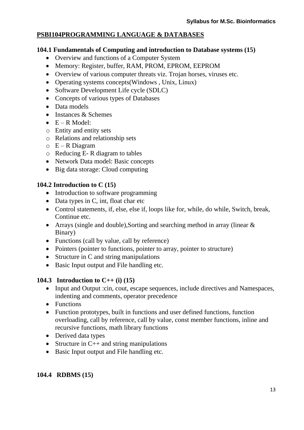# **PSBI104PROGRAMMING LANGUAGE & DATABASES**

### **104.1 Fundamentals of Computing and introduction to Database systems (15)**

- Overview and functions of a Computer System
- Memory: Register, buffer, RAM, PROM, EPROM, EEPROM
- Overview of various computer threats viz. Trojan horses, viruses etc.
- Operating systems concepts(Windows, Unix, Linux)
- Software Development Life cycle (SDLC)
- Concepts of various types of Databases
- Data models
- Instances & Schemes
- $\bullet$  E R Model:
- o Entity and entity sets
- o Relations and relationship sets
- $O$  E R Diagram
- o Reducing E- R diagram to tables
- Network Data model: Basic concepts
- Big data storage: Cloud computing

### **104.2 Introduction to C (15)**

- Introduction to software programming
- Data types in C, int, float char etc
- Control statements, if, else, else if, loops like for, while, do while, Switch, break, Continue etc.
- Arrays (single and double), Sorting and searching method in array (linear & Binary)
- Functions (call by value, call by reference)
- Pointers (pointer to functions, pointer to array, pointer to structure)
- Structure in C and string manipulations
- Basic Input output and File handling etc.

### **104.3 Introduction to C++ (i) (15)**

- Input and Output :cin, cout, escape sequences, include directives and Namespaces, indenting and comments, operator precedence
- Functions
- Function prototypes, built in functions and user defined functions, function overloading, call by reference, call by value, const member functions, inline and recursive functions, math library functions
- Derived data types
- Structure in  $C_{++}$  and string manipulations
- Basic Input output and File handling etc.

# **104.4 RDBMS (15)**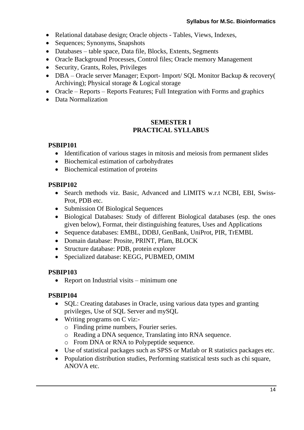- Relational database design; Oracle objects Tables, Views, Indexes,
- Sequences; Synonyms, Snapshots
- Databases table space, Data file, Blocks, Extents, Segments
- Oracle Background Processes, Control files; Oracle memory Management
- Security, Grants, Roles, Privileges
- DBA Oracle server Manager; Export- Import/ SQL Monitor Backup & recovery( Archiving); Physical storage & Logical storage
- Oracle Reports Reports Features; Full Integration with Forms and graphics
- Data Normalization

### **SEMESTER I PRACTICAL SYLLABUS**

### **PSBIP101**

- Identification of various stages in mitosis and meiosis from permanent slides
- Biochemical estimation of carbohydrates
- Biochemical estimation of proteins

### **PSBIP102**

- Search methods viz. Basic, Advanced and LIMITS w.r.t NCBI, EBI, Swiss-Prot, PDB etc.
- Submission Of Biological Sequences
- Biological Databases: Study of different Biological databases (esp. the ones given below), Format, their distinguishing features, Uses and Applications
- Sequence databases: EMBL, DDBJ, GenBank, UniProt, PIR, TrEMBL
- Domain database: Prosite, PRINT, Pfam, BLOCK
- Structure database: PDB, protein explorer
- Specialized database: KEGG, PUBMED, OMIM

### **PSBIP103**

• Report on Industrial visits – minimum one

### **PSBIP104**

- SQL: Creating databases in Oracle, using various data types and granting privileges, Use of SQL Server and mySQL
- Writing programs on C viz:
	- o Finding prime numbers, Fourier series.
	- o Reading a DNA sequence, Translating into RNA sequence.
	- o From DNA or RNA to Polypeptide sequence.
- Use of statistical packages such as SPSS or Matlab or R statistics packages etc.
- Population distribution studies, Performing statistical tests such as chi square, ANOVA etc.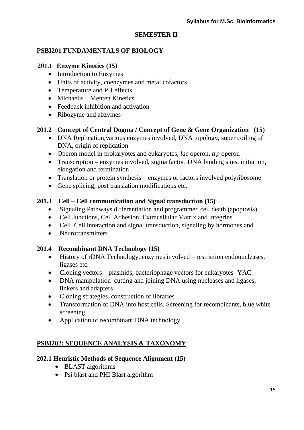### **PSBI201 FUNDAMENTALS OF BIOLOGY**

### **201.1 Enzyme Kinetics (15)**

- Introduction to Enzymes
- Units of activity, coenzymes and metal cofactors.
- Temperature and PH effects
- Michaelis Menten Kinetics
- Feedback inhibition and activation
- Ribozyme and abzymes

### **201.2 Concept of Central Dogma / Concept of Gene & Gene Organization (15)**

- DNA Replication, various enzymes involved, DNA topology, super coiling of DNA, origin of replication
- Operon model in prokaryotes and eukaryotes, *lac* operon, *trp* operon
- Transcription enzymes involved, sigma factor, DNA binding sites, initiation, elongation and termination
- Translation or protein synthesis enzymes or factors involved polyribosome
- Gene splicing, post translation modifications etc.

### **201.3 Cell – Cell communication and Signal transduction (15)**

- Signaling Pathways differentiation and programmed cell death (apoptosis)
- Cell Junctions, Cell Adhesion, Extracellular Matrix and integrins
- Cell–Cell interaction and signal transduction, signaling by hormones and
- Neurotransmitters

### **201.4 Recombinant DNA Technology (15)**

- History of rDNA Technology, enzymes involved restriction endonucleases, ligases etc.
- Cloning vectors plasmids, bacteriophage vectors for eukaryotes- YAC.
- DNA manipulation–cutting and joining DNA using nucleases and ligases, linkers and adapters
- Cloning strategies, construction of libraries
- Transformation of DNA into host cells, Screening for recombinants, blue white screening
- Application of recombinant DNA technology

# **PSBI202: SEQUENCE ANALYSIS & TAXONOMY**

### **202.1 Heuristic Methods of Sequence Alignment (15)**

- BLAST algorithms
- Psi blast and PHI Blast algorithm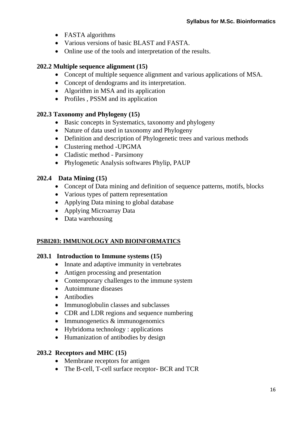- FASTA algorithms
- Various versions of basic BLAST and FASTA.
- Online use of the tools and interpretation of the results.

### **202.2 Multiple sequence alignment (15)**

- Concept of multiple sequence alignment and various applications of MSA.
- Concept of dendograms and its interpretation.
- Algorithm in MSA and its application
- Profiles , PSSM and its application

### **202.3 Taxonomy and Phylogeny (15)**

- Basic concepts in Systematics, taxonomy and phylogeny
- Nature of data used in taxonomy and Phylogeny
- Definition and description of Phylogenetic trees and various methods
- Clustering method UPGMA
- Cladistic method Parsimony
- Phylogenetic Analysis softwares Phylip, PAUP

### **202.4 Data Mining (15)**

- Concept of Data mining and definition of sequence patterns, motifs, blocks
- Various types of pattern representation
- Applying Data mining to global database
- Applying Microarray Data
- Data warehousing

### **PSBI203: IMMUNOLOGY AND BIOINFORMATICS**

### **203.1 Introduction to Immune systems (15)**

- Innate and adaptive immunity in vertebrates
- Antigen processing and presentation
- Contemporary challenges to the immune system
- Autoimmune diseases
- Antibodies
- Immunoglobulin classes and subclasses
- CDR and LDR regions and sequence numbering
- Immunogenetics & immunogenomics
- Hybridoma technology : applications
- Humanization of antibodies by design

### **203.2 Receptors and MHC (15)**

- Membrane receptors for antigen
- The B-cell, T-cell surface receptor- BCR and TCR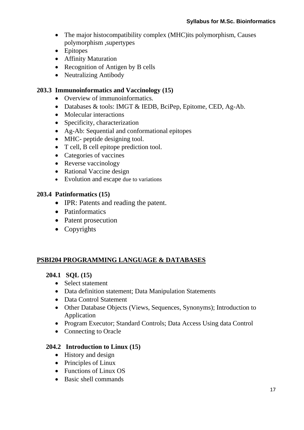- The major histocompatibility complex (MHC) its polymorphism, Causes polymorphism ,supertypes
- Epitopes
- Affinity Maturation
- Recognition of Antigen by B cells
- Neutralizing Antibody

### **203.3 Immunoinformatics and Vaccinology (15)**

- Overview of immunoinformatics.
- Databases & tools: IMGT & IEDB, BciPep, Epitome, CED, Ag-Ab.
- Molecular interactions
- Specificity, characterization
- Ag-Ab: Sequential and conformational epitopes
- MHC- peptide designing tool.
- T cell, B cell epitope prediction tool.
- Categories of vaccines
- Reverse vaccinology
- Rational Vaccine design
- Evolution and escape due to variations

### **203.4 Patinformatics (15)**

- IPR: Patents and reading the patent.
- Patinformatics
- Patent prosecution
- Copyrights

# **PSBI204 PROGRAMMING LANGUAGE & DATABASES**

### **204.1 SQL (15)**

- Select statement
- Data definition statement; Data Manipulation Statements
- Data Control Statement
- Other Database Objects (Views, Sequences, Synonyms); Introduction to Application
- Program Executor; Standard Controls; Data Access Using data Control
- Connecting to Oracle

### **204.2 Introduction to Linux (15)**

- History and design
- Principles of Linux
- Functions of Linux OS
- Basic shell commands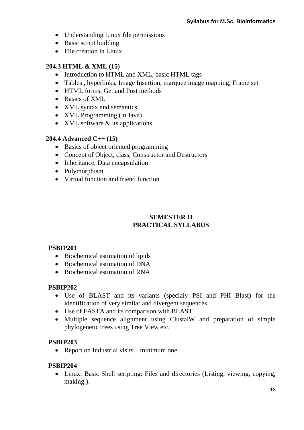- Understanding Linux file permissions
- Basic script building
- File creation in Linux

### **204.3 HTML & XML (15)**

- Introduction to HTML and XML, basic HTML tags
- Tables , hyperlinks, Image Insertion, marquee image mapping, Frame set
- HTML forms, Get and Post methods
- Basics of XML
- XML syntax and semantics
- XML Programming (in Java)
- XML software & its applications

### **204.4 Advanced C++ (15)**

- Basics of object oriented programming
- Concept of Object, class, Constructor and Destructors
- Inheritance, Data encapsulation
- Polymorphism
- Virtual function and friend function

# **SEMESTER II PRACTICAL SYLLABUS**

# **PSBIP201**

- Biochemical estimation of lipids
- Biochemical estimation of DNA
- Biochemical estimation of RNA

### **PSBIP202**

- Use of BLAST and its variants (specialy PSI and PHI Blast) for the identification of very similar and divergent sequences
- Use of FASTA and its comparison with BLAST
- Multiple sequence alignment using ClustalW and preparation of simple phylogenetic trees using Tree View etc.

### **PSBIP203**

• Report on Industrial visits – minimum one

### **PSBIP204**

 Linux: Basic Shell scripting: Files and directories (Listing, viewing, copying, making.).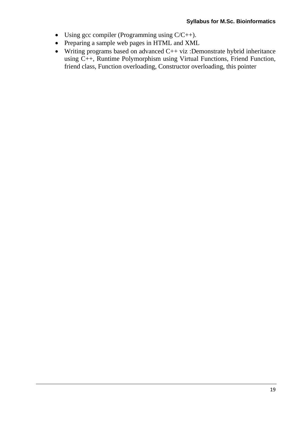- Using gcc compiler (Programming using  $C/C++$ ).
- Preparing a sample web pages in HTML and XML
- Writing programs based on advanced C++ viz :Demonstrate hybrid inheritance using C++, Runtime Polymorphism using Virtual Functions, Friend Function, friend class, Function overloading, Constructor overloading, this pointer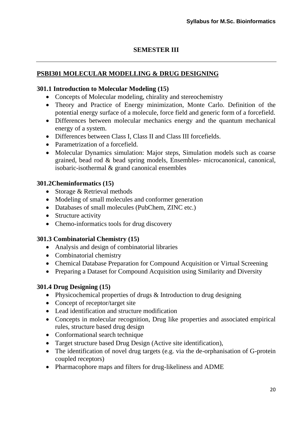### **SEMESTER III**

### **PSBI301 MOLECULAR MODELLING & DRUG DESIGNING**

#### **301.1 Introduction to Molecular Modeling (15)**

- Concepts of Molecular modeling, chirality and stereochemistry
- Theory and Practice of Energy minimization, Monte Carlo. Definition of the potential energy surface of a molecule, force field and generic form of a forcefield.
- Differences between molecular mechanics energy and the quantum mechanical energy of a system.
- Differences between Class I, Class II and Class III forcefields.
- Parametrization of a forcefield.
- Molecular Dynamics simulation: Major steps, Simulation models such as coarse grained, bead rod & bead spring models, Ensembles- microcanonical, canonical, isobaric-isothermal & grand canonical ensembles

#### **301.2Cheminformatics (15)**

- Storage & Retrieval methods
- Modeling of small molecules and conformer generation
- Databases of small molecules (PubChem, ZINC etc.)
- Structure activity
- Chemo-informatics tools for drug discovery

#### **301.3 Combinatorial Chemistry (15)**

- Analysis and design of combinatorial libraries
- Combinatorial chemistry
- Chemical Database Preparation for Compound Acquisition or Virtual Screening
- Preparing a Dataset for Compound Acquisition using Similarity and Diversity

#### **301.4 Drug Designing (15)**

- Physicochemical properties of drugs & Introduction to drug designing
- Concept of receptor/target site
- Lead identification and structure modification
- Concepts in molecular recognition, Drug like properties and associated empirical rules, structure based drug design
- Conformational search technique
- Target structure based Drug Design (Active site identification),
- The identification of novel drug targets (e.g. via the de-orphanisation of G-protein coupled receptors)
- Pharmacophore maps and filters for drug-likeliness and ADME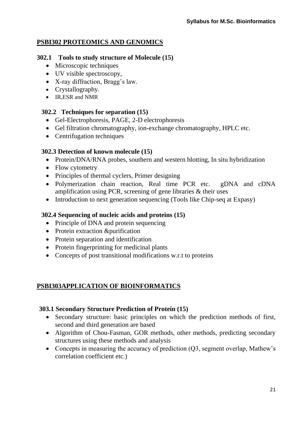# **PSBI302 PROTEOMICS AND GENOMICS**

### **302.1 Tools to study structure of Molecule (15)**

- Microscopic techniques
- UV visible spectroscopy,
- X-ray diffraction, Bragg's law.
- Crystallography.
- IR, ESR and NMR

### **302.2 Techniques for separation (15)**

- Gel-Electrophoresis, PAGE, 2-D electrophoresis
- Gel filtration chromatography, ion-exchange chromatography, HPLC etc.
- Centrifugation techniques

### **302.3 Detection of known molecule (15)**

- Protein/DNA/RNA probes, southern and western blotting. In situ hybridization
- Flow cytometry
- Principles of thermal cyclers, Primer designing
- Polymerization chain reaction, Real time PCR etc. gDNA and cDNA amplification using PCR, screening of gene libraries & their uses
- Introduction to next generation sequencing (Tools like Chip-seq at Expasy)

### **302.4 Sequencing of nucleic acids and proteins (15)**

- Principle of DNA and protein sequencing
- Protein extraction &purification
- Protein separation and identification
- Protein fingerprinting for medicinal plants
- Concepts of post transitional modifications w.r.t to proteins

# **PSBI303APPLICATION OF BIOINFORMATICS**

### **303.1 Secondary Structure Prediction of Protein (15)**

- Secondary structure: basic principles on which the prediction methods of first, second and third generation are based
- Algorithm of Chou-Fasman, GOR methods, other methods, predicting secondary structures using these methods and analysis
- Concepts in measuring the accuracy of prediction (Q3, segment overlap, Mathew's correlation coefficient etc.)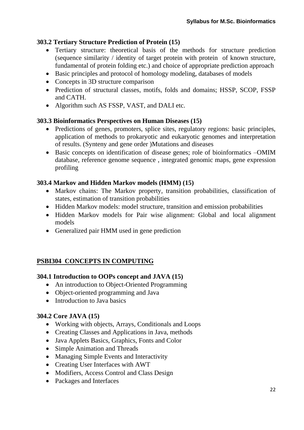### **303.2 Tertiary Structure Prediction of Protein (15)**

- Tertiary structure: theoretical basis of the methods for structure prediction (sequence similarity / identity of target protein with protein of known structure, fundamental of protein folding etc.) and choice of appropriate prediction approach
- Basic principles and protocol of homology modeling, databases of models
- Concepts in 3D structure comparison
- Prediction of structural classes, motifs, folds and domains; HSSP, SCOP, FSSP and CATH.
- Algorithm such AS FSSP, VAST, and DALI etc.

### **303.3 Bioinformatics Perspectives on Human Diseases (15)**

- Predictions of genes, promoters, splice sites, regulatory regions: basic principles, application of methods to prokaryotic and eukaryotic genomes and interpretation of results. (Synteny and gene order )Mutations and diseases
- Basic concepts on identification of disease genes; role of bioinformatics  $-OMIM$ database, reference genome sequence , integrated genomic maps, gene expression profiling

### **303.4 Markov and Hidden Markov models (HMM) (15)**

- Markov chains: The Markov property, transition probabilities, classification of states, estimation of transition probabilities
- Hidden Markov models: model structure, transition and emission probabilities
- Hidden Markov models for Pair wise alignment: Global and local alignment models
- Generalized pair HMM used in gene prediction

# **PSBI304 CONCEPTS IN COMPUTING**

### **304.1 Introduction to OOPs concept and JAVA (15)**

- An introduction to Object-Oriented Programming
- Object-oriented programming and Java
- Introduction to Java basics

### **304.2 Core JAVA (15)**

- Working with objects, Arrays, Conditionals and Loops
- Creating Classes and Applications in Java, methods
- Java Applets Basics, Graphics, Fonts and Color
- Simple Animation and Threads
- Managing Simple Events and Interactivity
- Creating User Interfaces with AWT
- Modifiers, Access Control and Class Design
- Packages and Interfaces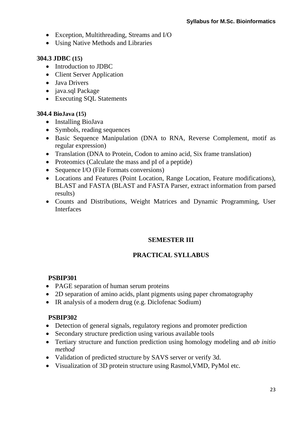- Exception, Multithreading, Streams and I/O
- Using Native Methods and Libraries

### **304.3 JDBC (15)**

- Introduction to JDBC
- Client Server Application
- Java Drivers
- java.sql Package
- Executing SQL Statements

### **304.4 BioJava (15)**

- Installing BioJava
- Symbols, reading sequences
- Basic Sequence Manipulation (DNA to RNA, Reverse Complement, motif as regular expression)
- Translation (DNA to Protein, Codon to amino acid, Six frame translation)
- Proteomics (Calculate the mass and pI of a peptide)
- Sequence I/O (File Formats conversions)
- Locations and Features (Point Location, Range Location, Feature modifications), BLAST and FASTA (BLAST and FASTA Parser, extract information from parsed results)
- Counts and Distributions, Weight Matrices and Dynamic Programming, User Interfaces

### **SEMESTER III**

# **PRACTICAL SYLLABUS**

# **PSBIP301**

- PAGE separation of human serum proteins
- 2D separation of amino acids, plant pigments using paper chromatography
- IR analysis of a modern drug (e.g. Diclofenac Sodium)

### **PSBIP302**

- Detection of general signals, regulatory regions and promoter prediction
- Secondary structure prediction using various available tools
- Tertiary structure and function prediction using homology modeling and *ab initio method*
- Validation of predicted structure by SAVS server or verify 3d.
- Visualization of 3D protein structure using Rasmol,VMD, PyMol etc.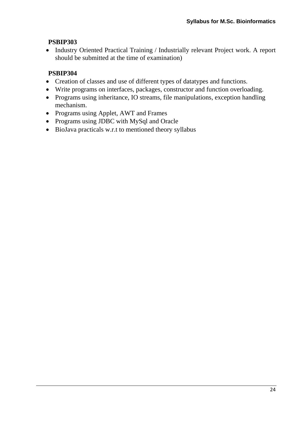### **PSBIP303**

• Industry Oriented Practical Training / Industrially relevant Project work. A report should be submitted at the time of examination)

# **PSBIP304**

- Creation of classes and use of different types of datatypes and functions.
- Write programs on interfaces, packages, constructor and function overloading.
- Programs using inheritance, IO streams, file manipulations, exception handling mechanism.
- Programs using Applet, AWT and Frames
- Programs using JDBC with MySql and Oracle
- BioJava practicals w.r.t to mentioned theory syllabus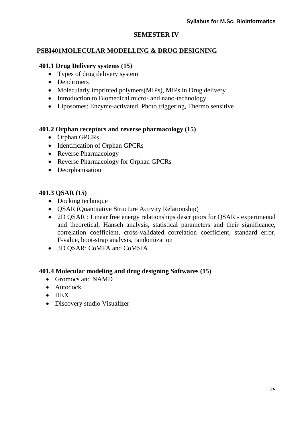### **SEMESTER IV**

#### **PSBI401MOLECULAR MODELLING & DRUG DESIGNING**

#### **401.1 Drug Delivery systems (15)**

- Types of drug delivery system
- Dendrimers
- Molecularly imprinted polymers(MIPs), MIPs in Drug delivery
- Introduction to Biomedical micro- and nano-technology
- Liposomes: Enzyme-activated, Photo triggering, Thermo sensitive

#### **401.2 Orphan receptors and reverse pharmacology (15)**

- Orphan GPCRs
- Identification of Orphan GPCRs
- Reverse Pharmacology
- Reverse Pharmacology for Orphan GPCRs
- Deorphanisation

#### **401.3 QSAR (15)**

- Docking technique
- QSAR (Quantitative Structure Activity Relationship)
- 2D QSAR : Linear free energy relationships descriptors for QSAR experimental and theoretical, Hansch analysis, statistical parameters and their significance, correlation coefficient, cross-validated correlation coefficient, standard error, F-value, boot-strap analysis, randomization
- 3D QSAR: CoMFA and CoMSIA

#### **401.4 Molecular modeling and drug designing Softwares (15)**

- Gromocs and NAMD
- Autodock
- $\bullet$  HEX
- Discovery studio Visualizer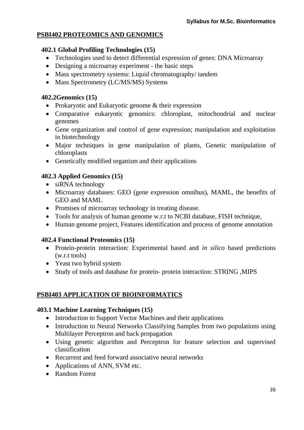# **PSBI402 PROTEOMICS AND GENOMICS**

#### **402.1 Global Profiling Technologies (15)**

- Technologies used to detect differential expression of genes: DNA Microarray
- Designing a microarray experiment the basic steps
- Mass spectrometry systems: Liquid chromatography/tandem
- Mass Spectrometry (LC/MS/MS) Systems

### **402.2Genomics (15)**

- Prokaryotic and Eukaryotic genome & their expression
- Comparative eukaryotic genomics: chloroplast, mitochondrial and nuclear genomes
- Gene organization and control of gene expression; manipulation and exploitation in biotechnology
- Major techniques in gene manipulation of plants, Genetic manipulation of chloroplasts
- Genetically modified organism and their applications

### **402.3 Applied Genomics (15)**

- siRNA technology
- Microarray databases: GEO (gene expression omnibus), MAML, the benefits of GEO and MAML
- Promises of microarray technology in treating disease.
- Tools for analysis of human genome w.r.t to NCBI database, FISH technique,
- Human genome project, Features identification and process of genome annotation

### **402.4 Functional Proteomics (15)**

- Protein-protein interaction: Experimental based and *in silico* based predictions (w.r.t tools)
- Yeast two hybrid system
- Study of tools and database for protein- protein interaction: STRING ,MIPS

### **PSBI403 APPLICATION OF BIOINFORMATICS**

### **403.1 Machine Learning Techniques (15)**

- Introduction to Support Vector Machines and their applications
- Introduction to Neural Networks Classifying Samples from two populations using Multilayer Perceptron and back propagation
- Using genetic algorithm and Perceptron for feature selection and supervised classification
- Recurrent and feed forward associative neural networks
- Applications of ANN, SVM etc.
- Random Forest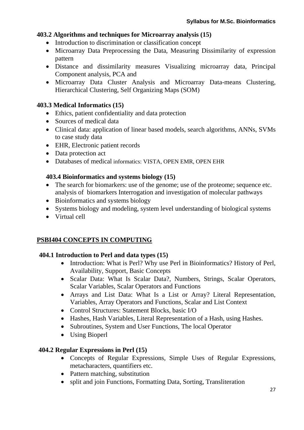#### **403.2 Algorithms and techniques for Microarray analysis (15)**

- Introduction to discrimination or classification concept
- Microarray Data Preprocessing the Data, Measuring Dissimilarity of expression pattern
- Distance and dissimilarity measures Visualizing microarray data, Principal Component analysis, PCA and
- Microarray Data Cluster Analysis and Microarray Data-means Clustering, Hierarchical Clustering, Self Organizing Maps (SOM)

### **403.3 Medical Informatics (15)**

- Ethics, patient confidentiality and data protection
- Sources of medical data
- Clinical data: application of linear based models, search algorithms, ANNs, SVMs to case study data
- EHR, Electronic patient records
- Data protection act
- Databases of medical informatics: VISTA, OPEN EMR, OPEN EHR

### **403.4 Bioinformatics and systems biology (15)**

- The search for biomarkers: use of the genome; use of the proteome; sequence etc. analysis of biomarkers Interrogation and investigation of molecular pathways
- Bioinformatics and systems biology
- Systems biology and modeling, system level understanding of biological systems
- Virtual cell

### **PSBI404 CONCEPTS IN COMPUTING**

### **404.1 Introduction to Perl and data types (15)**

- Introduction: What is Perl? Why use Perl in Bioinformatics? History of Perl, Availability, Support, Basic Concepts
- Scalar Data: What Is Scalar Data?, Numbers, Strings, Scalar Operators, Scalar Variables, Scalar Operators and Functions
- Arrays and List Data: What Is a List or Array? Literal Representation, Variables, Array Operators and Functions, Scalar and List Context
- Control Structures: Statement Blocks, basic I/O
- Hashes, Hash Variables, Literal Representation of a Hash, using Hashes.
- Subroutines, System and User Functions, The local Operator
- Using Bioperl

### **404.2 Regular Expressions in Perl (15)**

- Concepts of Regular Expressions, Simple Uses of Regular Expressions, metacharacters, quantifiers etc.
- Pattern matching, substitution
- split and join Functions, Formatting Data, Sorting, Transliteration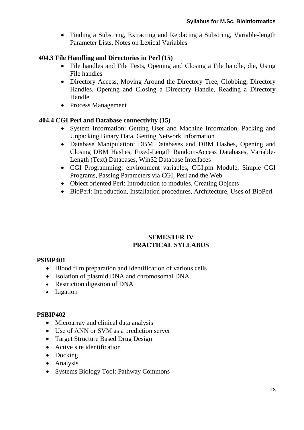• Finding a Substring, Extracting and Replacing a Substring, Variable-length Parameter Lists, Notes on Lexical Variables

### **404.3 File Handling and Directories in Perl (15)**

- File handles and File Tests, Opening and Closing a File handle, die, Using File handles
- Directory Access, Moving Around the Directory Tree, Globbing, Directory Handles, Opening and Closing a Directory Handle, Reading a Directory Handle
- Process Management

### **404.4 CGI Perl and Database connectivity (15)**

- System Information: Getting User and Machine Information, Packing and Unpacking Binary Data, Getting Network Information
- Database Manipulation: DBM Databases and DBM Hashes, Opening and Closing DBM Hashes, Fixed-Length Random-Access Databases, Variable-Length (Text) Databases, Win32 Database Interfaces
- CGI Programming: environment variables, CGI.pm Module, Simple CGI Programs, Passing Parameters via CGI, Perl and the Web
- Object oriented Perl: Introduction to modules, Creating Objects
- BioPerl: Introduction, Installation procedures, Architecture, Uses of BioPerl

### **SEMESTER IV PRACTICAL SYLLABUS**

### **PSBIP401**

- Blood film preparation and Identification of various cells
- Isolation of plasmid DNA and chromosomal DNA
- Restriction digestion of DNA
- Ligation

### **PSBIP402**

- Microarray and clinical data analysis
- Use of ANN or SVM as a prediction server
- Target Structure Based Drug Design
- Active site identification
- Docking
- Analysis
- Systems Biology Tool: Pathway Commons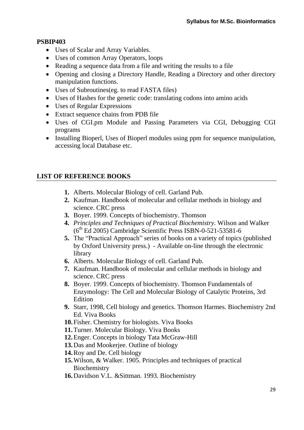### **PSBIP403**

- Uses of Scalar and Array Variables.
- Uses of common Array Operators, loops
- Reading a sequence data from a file and writing the results to a file
- Opening and closing a Directory Handle, Reading a Directory and other directory manipulation functions.
- Uses of Subroutines(eg. to read FASTA files)
- Uses of Hashes for the genetic code: translating codons into amino acids
- Uses of Regular Expressions
- Extract sequence chains from PDB file
- Uses of CGI.pm Module and Passing Parameters via CGI, Debugging CGI programs
- Installing Bioperl, Uses of Bioperl modules using ppm for sequence manipulation, accessing local Database etc.

# **LIST OF REFERENCE BOOKS**

- **1.** Alberts. Molecular Biology of cell. Garland Pub.
- **2.** Kaufman. Handbook of molecular and cellular methods in biology and science. CRC press
- **3.** Boyer. 1999. Concepts of biochemistry. Thomson
- **4.** *Principles and Techniques of Practical Biochemistry*. Wilson and Walker  $(6<sup>th</sup> Ed 2005)$  Cambridge Scientific Press ISBN-0-521-53581-6
- **5.** The "Practical Approach" series of books on a variety of topics (published by Oxford University press.) - Available on-line through the electronic library
- **6.** Alberts. Molecular Biology of cell. Garland Pub.
- **7.** Kaufman. Handbook of molecular and cellular methods in biology and science. CRC press
- **8.** Boyer. 1999. Concepts of biochemistry. Thomson Fundamentals of Enzymology: The Cell and Molecular Biology of Catalytic Proteins, 3rd Edition
- **9.** Starr, 1998, Cell biology and genetics. Thomson Harmes. Biochemistry 2nd Ed. Viva Books
- **10.**Fisher. Chemistry for biologists. Viva Books
- **11.**Turner. Molecular Biology. Viva Books
- **12.**Enger. Concepts in biology Tata McGraw-Hill
- **13.**Das and Mookerjee. Outline of biology
- **14.**Roy and De. Cell biology
- **15.**Wilson, & Walker. 1905. Principles and techniques of practical **Biochemistry**
- **16.**Davidson V.L. &Sittman. 1993. Biochemistry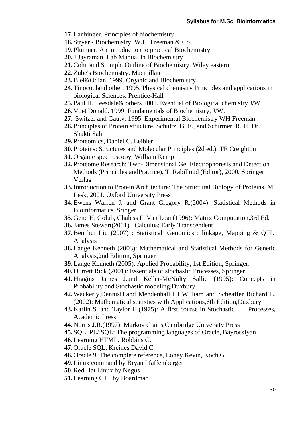- **17.**Lanhinger. Principles of biochemistry
- **18.**Stryer Biochemistry. W.H. Freeman & Co.
- **19.**Plumner. An introduction to practical Biochemistry
- **20.**J.Jayraman. Lab Manual in Biochemistry
- **21.**Cohn and Stumph. Outline of Biochemistry. Wiley eastern.
- **22.**Zube's Biochemistry. Macmillan
- **23.**Blel&Odian. 1999. Organic and Biochemistry
- **24.**Tinoco. land other. 1995. Physical chemistry Principles and applications in biological Sciences. Prentice-Hall
- **25.**Paul H. Teesdale& others 2001. Eventual of Biological chemistry J/W
- **26.**Voet Donald. 1999. Fundamentals of Biochemistry, J/W.
- **27.** Switzer and Gautv. 1995. Experimental Biochemistry WH Freeman.
- **28.**Principles of Protein structure, Schultz, G. E., and Schirmer, R. H. Dr. Shakti Sahi
- **29.**Proteomics, Daniel C. Leibler
- **30.**Proteins: Structures and Molecular Principles (2d ed.), TE Creighton
- **31.**Organic spectroscopy, William Kemp
- **32.**Proteome Research: Two-Dimensional Gel Electrophoresis and Detection Methods (Principles andPractice), T. Rabilloud (Editor), 2000, Springer Verlag
- **33.**Introduction to Protein Architecture: The Structural Biology of Proteins, M. Lesk, 2001, Oxford University Press
- **34.**Ewens Warren J. and Grant Gregory R.(2004): Statistical Methods in Bioinformatics, Sringer.
- **35.**Gene H. Golub, Chaless F. Van Loan(1996): Matrix Computation,3rd Ed.
- **36.**James Stewart(2001) : Calculus: Early Transcendent
- **37.**Ben hui Liu (2007) : Statistical Genomics : linkage, Mapping & QTL Analysis
- **38.**Lange Kenneth (2003): Mathematical and Statistical Methods for Genetic Analysis,2nd Edition, Springer
- **39.**Lange Kenneth (2005): Applied Probability, 1st Edition, Springer.
- **40.**Durrett Rick (2001): Essentials of stochastic Processes, Springer.
- **41.**Higgins James J.and Keller-McNulty Sallie (1995): Concepts in Probability and Stochastic modeling,Duxbury
- **42.**Wackerly,DennisD.and Mendenhall III William and Scheaffer Richard L. (2002): Mathematical statistics with Applications,6th Edition,Duxbury
- 43. Karlin S. and Taylor H. (1975): A first course in Stochastic Processes, Academic Press
- **44.**Norris J.R.(1997): Markov chains,Cambridge University Press
- **45.**SQL, PL/ SQL: The programming languages of Oracle, BayrossIyan
- **46.**Learning HTML, Robbins C.
- **47.**Oracle SQL, Kreines David C.
- **48.**Oracle 9i:The complete reference, Loney Kevin, Koch G
- **49.**Linux command by Bryan Pfaffemberger
- **50.**Red Hat Linux by Negus
- **51.**Learning C++ by Boardman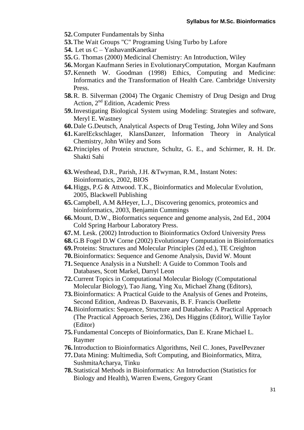- **52.**Computer Fundamentals by Sinha
- **53.**The Wait Groups "C" Programing Using Turbo by Lafore
- **54.** Let us C YashavantKanetkar
- **55.**G. Thomas (2000) Medicinal Chemistry: An Introduction, Wiley
- **56.**Morgan Kaufmann Series in EvolutionaryComputation, Morgan Kaufmann
- **57.**Kenneth W. Goodman (1998) Ethics, Computing and Medicine: Informatics and the Transformation of Health Care. Cambridge University Press.
- **58.**R. B. Silverman (2004) The Organic Chemistry of Drug Design and Drug Action, 2nd Edition, Academic Press
- **59.**Investigating Biological System using Modeling: Strategies and software, Meryl E. Wastney
- **60.**Dale G.Deutsch, Analytical Aspects of Drug Testing, John Wiley and Sons
- **61.**KarelEckschlager, KlansDanzer, Information Theory in Analytical Chemistry, John Wiley and Sons
- **62.**Principles of Protein structure, Schultz, G. E., and Schirmer, R. H. Dr. Shakti Sahi
- **63.**Westhead, D.R., Parish, J.H. &Twyman, R.M., Instant Notes: Bioinformatics, 2002, BIOS
- **64.**Higgs, P.G & Attwood. T.K., Bioinformatics and Molecular Evolution, 2005, Blackwell Publishing
- **65.**Campbell, A.M &Heyer, L.J., Discovering genomics, proteomics and bioinformatics, 2003, Benjamin Cummings
- **66.**Mount, D.W., Bioformatics sequence and genome analysis, 2nd Ed., 2004 Cold Spring Harbour Laboratory Press.
- **67.**M. Lesk. (2002) Introduction to Bioinformatics Oxford University Press
- **68.**G.B Fogel D.W Corne (2002) Evolutionary Computation in Bioinformatics
- **69.**Proteins: Structures and Molecular Principles (2d ed.), TE Creighton
- **70.**Bioinformatics: Sequence and Genome Analysis, David W. Mount
- **71.**Sequence Analysis in a Nutshell: A Guide to Common Tools and Databases, Scott Markel, Darryl Leon
- **72.**Current Topics in Computational Molecular Biology (Computational Molecular Biology), Tao Jiang, Ying Xu, Michael Zhang (Editors),
- **73.**Bioinformatics: A Practical Guide to the Analysis of Genes and Proteins, Second Edition, Andreas D. Baxevanis, B. F. Francis Ouellette
- **74.**Bioinformatics: Sequence, Structure and Databanks: A Practical Approach (The Practical Approach Series, 236), Des Higgins (Editor), Willie Taylor (Editor)
- **75.**Fundamental Concepts of Bioinformatics, Dan E. Krane Michael L. Raymer
- **76.**Introduction to Bioinformatics Algorithms, Neil C. Jones, PavelPevzner
- **77.**Data Mining: Multimedia, Soft Computing, and Bioinformatics, Mitra, SushmitaAcharya, Tinku
- **78.**Statistical Methods in Bioinformatics: An Introduction (Statistics for Biology and Health), Warren Ewens, Gregory Grant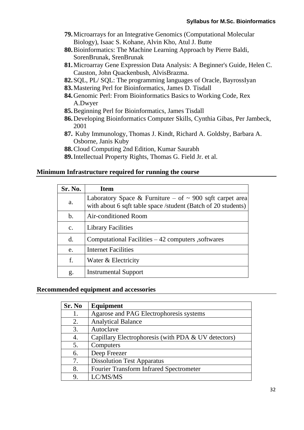- **79.**Microarrays for an Integrative Genomics (Computational Molecular Biology), Isaac S. Kohane, Alvin Kho, Atul J. Butte
- **80.**Bioinformatics: The Machine Learning Approach by Pierre Baldi, SorenBrunak, SrenBrunak
- **81.**Microarray Gene Expression Data Analysis: A Beginner's Guide, Helen C. Causton, John Quackenbush, AlvisBrazma.
- **82.**SQL, PL/ SQL: The programming languages of Oracle, BayrossIyan
- **83.**Mastering Perl for Bioinformatics, James D. Tisdall
- **84.**Genomic Perl: From Bioinformatics Basics to Working Code, Rex A.Dwyer
- **85.**Beginning Perl for Bioinformatics, James Tisdall
- **86.**Developing Bioinformatics Computer Skills, Cynthia Gibas, Per Jambeck, 2001
- **87.** Kuby Immunology, Thomas J. Kindt, Richard A. Goldsby, Barbara A. Osborne, Janis Kuby
- **88.**Cloud Computing 2nd Edition, Kumar Saurabh
- **89.**Intellectual Property Rights, Thomas G. Field Jr. et al.

#### **Minimum Infrastructure required for running the course**

| Sr. No.        | <b>Item</b>                                                                                                                    |
|----------------|--------------------------------------------------------------------------------------------------------------------------------|
| a.             | Laboratory Space & Furniture – of $\sim$ 900 sqft carpet area<br>with about 6 sqft table space /student (Batch of 20 students) |
| $\mathbf b$ .  | Air-conditioned Room                                                                                                           |
| $\mathbf{c}$ . | <b>Library Facilities</b>                                                                                                      |
| $\mathbf{d}$ . | Computational Facilities $-42$ computers, softwares                                                                            |
| e.             | <b>Internet Facilities</b>                                                                                                     |
| f.             | Water & Electricity                                                                                                            |
| g.             | <b>Instrumental Support</b>                                                                                                    |

#### **Recommended equipment and accessories**

| Sr. No | Equipment                                           |
|--------|-----------------------------------------------------|
|        | Agarose and PAG Electrophoresis systems             |
| 2.     | <b>Analytical Balance</b>                           |
| 3.     | Autoclave                                           |
|        | Capillary Electrophoresis (with PDA & UV detectors) |
| 5.     | Computers                                           |
| 6.     | Deep Freezer                                        |
| 7.     | <b>Dissolution Test Apparatus</b>                   |
| 8.     | <b>Fourier Transform Infrared Spectrometer</b>      |
| 9.     | LC/MS/MS                                            |